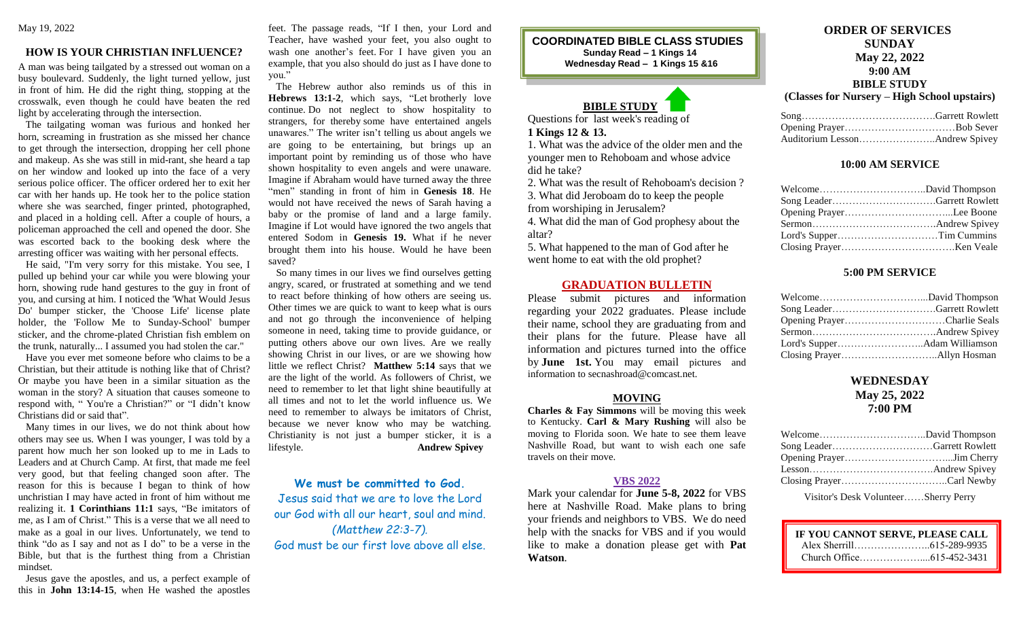### **HOW IS YOUR CHRISTIAN INFLUENCE?**

A man was being tailgated by a stressed out woman on a busy boulevard. Suddenly, the light turned yellow, just in front of him. He did the right thing, stopping at the crosswalk, even though he could have beaten the red light by accelerating through the intersection.

 The tailgating woman was furious and honked her horn, screaming in frustration as she missed her chance to get through the intersection, dropping her cell phone and makeup. As she was still in mid-rant, she heard a tap on her window and looked up into the face of a very serious police officer. The officer ordered her to exit her car with her hands up. He took her to the police station where she was searched, finger printed, photographed, and placed in a holding cell. After a couple of hours, a policeman approached the cell and opened the door. She was escorted back to the booking desk where the arresting officer was waiting with her personal effects.

 He said, "I'm very sorry for this mistake. You see, I pulled up behind your car while you were blowing your horn, showing rude hand gestures to the guy in front of you, and cursing at him. I noticed the 'What Would Jesus Do' bumper sticker, the 'Choose Life' license plate holder, the 'Follow Me to Sunday-School' bumper sticker, and the chrome-plated Christian fish emblem on the trunk, naturally... I assumed you had stolen the car."

 Have you ever met someone before who claims to be a Christian, but their attitude is nothing like that of Christ? Or maybe you have been in a similar situation as the woman in the story? A situation that causes someone to respond with, " You're a Christian?" or "I didn't know Christians did or said that".

 Many times in our lives, we do not think about how others may see us. When I was younger, I was told by a parent how much her son looked up to me in Lads to Leaders and at Church Camp. At first, that made me feel very good, but that feeling changed soon after. The reason for this is because I began to think of how unchristian I may have acted in front of him without me realizing it. **1 Corinthians 11:1** says, "Be imitators of me, as I am of Christ." This is a verse that we all need to make as a goal in our lives. Unfortunately, we tend to think "do as I say and not as I do" to be a verse in the Bible, but that is the furthest thing from a Christian mindset.

 Jesus gave the apostles, and us, a perfect example of this in **John 13:14-15**, when He washed the apostles feet. The passage reads, "If I then, your Lord and Teacher, have washed your feet, you also ought to wash one another's feet. For I have given you an example, that you also should do just as I have done to you."

 The Hebrew author also reminds us of this in **Hebrews 13:1-2**, which says, "Let brotherly love continue. Do not neglect to show hospitality to strangers, for thereby some have entertained angels unawares." The writer isn't telling us about angels we are going to be entertaining, but brings up an important point by reminding us of those who have shown hospitality to even angels and were unaware. Imagine if Abraham would have turned away the three "men" standing in front of him in **Genesis 18**. He would not have received the news of Sarah having a baby or the promise of land and a large family. Imagine if Lot would have ignored the two angels that entered Sodom in **Genesis 19.** What if he never brought them into his house. Would he have been saved?

 So many times in our lives we find ourselves getting angry, scared, or frustrated at something and we tend to react before thinking of how others are seeing us. Other times we are quick to want to keep what is ours and not go through the inconvenience of helping someone in need, taking time to provide guidance, or putting others above our own lives. Are we really showing Christ in our lives, or are we showing how little we reflect Christ? **Matthew 5:14** says that we are the light of the world. As followers of Christ, we need to remember to let that light shine beautifully at all times and not to let the world influence us. We need to remember to always be imitators of Christ, because we never know who may be watching. Christianity is not just a bumper sticker, it is a lifestyle. **Andrew Spivey**

We must be committed to God. Jesus said that we are to love the Lord our God with all our heart, soul and mind. *(Matthew 22:3-7).* God must be our first love above all else. **COORDINATED BIBLE CLASS STUDIES Sunday Read – 1 Kings 14 Wednesday Read – 1 Kings 15 &16**

# **BIBLE STUDY**

Questions for last week's reading of **1 Kings 12 & 13.**

1. What was the advice of the older men and the younger men to Rehoboam and whose advice did he take?

2. What was the result of Rehoboam's decision ?

3. What did Jeroboam do to keep the people

from worshiping in Jerusalem?

4. What did the man of God prophesy about the altar?

5. What happened to the man of God after he went home to eat with the old prophet?

#### **GRADUATION BULLETIN**

Please submit pictures and information regarding your 2022 graduates. Please include their name, school they are graduating from and their plans for the future. Please have all information and pictures turned into the office by **June 1st.** You may email pictures and information to secnashroad@comcast.net.

#### **MOVING**

**Charles & Fay Simmons** will be moving this week to Kentucky. **Carl & Mary Rushing** will also be moving to Florida soon. We hate to see them leave Nashville Road, but want to wish each one safe travels on their move.

#### **VBS 2022**

Mark your calendar for **June 5-8, 2022** for VBS here at Nashville Road. Make plans to bring your friends and neighbors to VBS. We do need help with the snacks for VBS and if you would like to make a donation please get with **Pat Watson**.

# **ORDER OF SERVICES SUNDAY May 22, 2022 9:00 AM BIBLE STUDY**

**(Classes for Nursery – High School upstairs)**

#### **10:00 AM SERVICE**

| Lord's SupperTim Cummins |  |
|--------------------------|--|
|                          |  |

## **5:00 PM SERVICE**

| Opening PrayerCharlie Seals |  |
|-----------------------------|--|
|                             |  |
|                             |  |
|                             |  |

# **WEDNESDAY May 25, 2022 7:00 PM**

Visitor's Desk Volunteer……Sherry Perry

| IF YOU CANNOT SERVE, PLEASE CALL |              |
|----------------------------------|--------------|
| Alex Sherrill                    | 615-289-9935 |